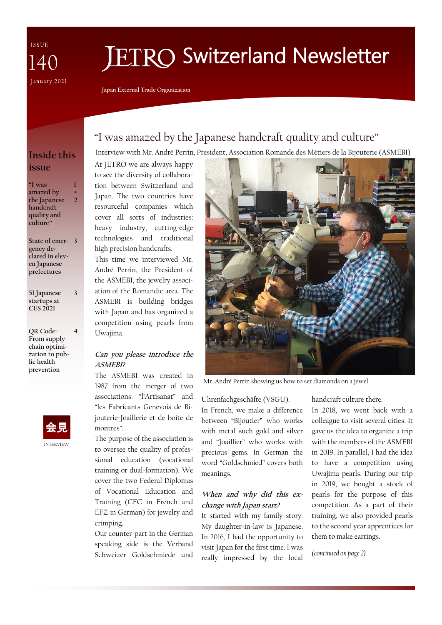ISSUE 140 January 2021

# **FTRO Switzerland Newsletter**

**Japan External Trade Organization**

## "I was amazed by the Japanese handcraft quality and culture"

Interview with Mr. André Perrin, President, Association Romande des Métiers de la Bijouterie (ASMEBI)

## **Inside this issue**

**"I was amazed by the Japanese handcraft quality and culture" 1 + 2**

**State of emer-3 gency declared in eleven Japanese prefectures**

**51 Japanese startups at CES 2021**

**3**

**4**

**QR Code: From supply chain optimization to public health prevention**



At JETRO we are always happy to see the diversity of collaboration between Switzerland and Japan. The two countries have resourceful companies which cover all sorts of industries: heavy industry, cutting-edge technologies and traditional high precision handcrafts.

This time we interviewed Mr. André Perrin, the President of the ASMEBI, the jewelry association of the Romandie area. The ASMEBI is building bridges with Japan and has organized a competition using pearls from Uwajima.

### **Can you please introduce the ASMEBI?**

The ASMEBI was created in 1987 from the merger of two associations: "l'Artisanat" and "les Fabricants Genevois de Bijouterie-Joaillerie et de boîte de montres".

The purpose of the association is to oversee the quality of professional education (vocational training or dual-formation). We cover the two Federal Diplomas of Vocational Education and Training (CFC in French and EFZ in German) for jewelry and crimping.

Our counter-part in the German speaking side is the Verband Schweizer Goldschmiede und



Mr. André Perrin showing us how to set diamonds on a jewel

Uhrenfachgeschäfte (VSGU). In French, we make a difference between "Bijoutier" who works with metal such gold and silver and "Joaillier" who works with precious gems. In German the word "Goldschmied" covers both meanings.

### **When and why did this exchange with Japan start?**

It started with my family story. My daughter-in-law is Japanese. In 2016, I had the opportunity to visit Japan for the first time. I was really impressed by the local

handcraft culture there.

In 2018, we went back with a colleague to visit several cities. It gave us the idea to organize a trip with the members of the ASMEBI in 2019. In parallel, I had the idea to have a competition using Uwajima pearls. During our trip in 2019, we bought a stock of pearls for the purpose of this competition. As a part of their training, we also provided pearls to the second year apprentices for them to make earrings.

*(continued on page 2)*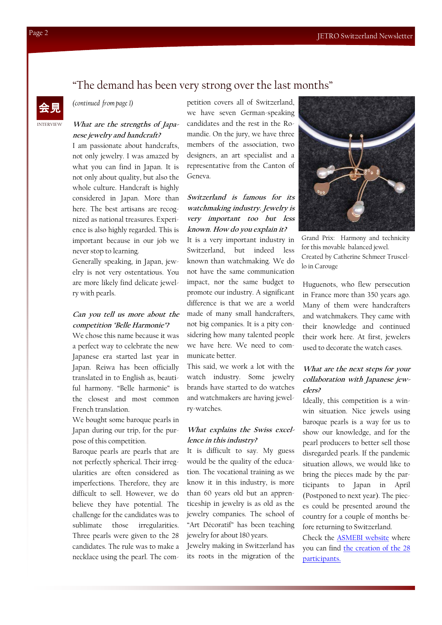## "The demand has been very strong over the last months"

*(continued from page 1)*

#### **What are the strengths of Japanese jewelry and handcraft?**

I am passionate about handcrafts, not only jewelry. I was amazed by what you can find in Japan. It is not only about quality, but also the whole culture. Handcraft is highly considered in Japan. More than here. The best artisans are recognized as national treasures. Experience is also highly regarded. This is important because in our job we never stop to learning.

Generally speaking, in Japan, jewelry is not very ostentatious. You are more likely find delicate jewelry with pearls.

#### **Can you tell us more about the competition "Belle Harmonie"?**

We chose this name because it was a perfect way to celebrate the new Japanese era started last year in Japan. Reiwa has been officially translated in to English as, beautiful harmony. "Belle harmonie" is the closest and most common French translation.

We bought some baroque pearls in Japan during our trip, for the purpose of this competition.

Baroque pearls are pearls that are not perfectly spherical. Their irregularities are often considered as imperfections. Therefore, they are difficult to sell. However, we do believe they have potential. The challenge for the candidates was to sublimate those irregularities. Three pearls were given to the 28 candidates. The rule was to make a necklace using the pearl. The competition covers all of Switzerland, we have seven German-speaking candidates and the rest in the Romandie. On the jury, we have three members of the association, two designers, an art specialist and a representative from the Canton of Geneva.

#### **Switzerland is famous for its watchmaking industry. Jewelry is very important too but less known. How do you explain it?**

It is a very important industry in Switzerland, but indeed less known than watchmaking. We do not have the same communication impact, nor the same budget to promote our industry. A significant difference is that we are a world made of many small handcrafters, not big companies. It is a pity considering how many talented people we have here. We need to communicate better.

This said, we work a lot with the watch industry. Some jewelry brands have started to do watches and watchmakers are having jewelry-watches.

#### **What explains the Swiss excellence in this industry?**

It is difficult to say. My guess would be the quality of the education. The vocational training as we know it in this industry, is more than 60 years old but an apprenticeship in jewelry is as old as the jewelry companies. The school of "Art Décoratif" has been teaching jewelry for about 180 years.

Jewelry making in Switzerland has its roots in the migration of the



Grand Prix: Harmony and technicity for this movable balanced jewel. Created by Catherine Schmeer Truscello in Carouge

Huguenots, who flew persecution in France more than 350 years ago. Many of them were handcrafters and watchmakers. They came with their knowledge and continued their work here. At first, jewelers used to decorate the watch cases.

### **What are the next steps for your collaboration with Japanese jewelers?**

Ideally, this competition is a winwin situation. Nice jewels using baroque pearls is a way for us to show our knowledge, and for the pearl producers to better sell those disregarded pearls. If the pandemic situation allows, we would like to bring the pieces made by the participants to Japan in April (Postponed to next year). The pieces could be presented around the country for a couple of months before returning to Switzerland.

Check the [ASMEBI website](http://www.asmebi.ch/fr/accueil) where you can find [the creation of the 28](http://www.asmebi.ch/fr/accueil/actualites/decouvrez-toutes-les-creations-du-concours-belle-harmonie-2020)  [participants.](http://www.asmebi.ch/fr/accueil/actualites/decouvrez-toutes-les-creations-du-concours-belle-harmonie-2020)

INTERVIEW

会見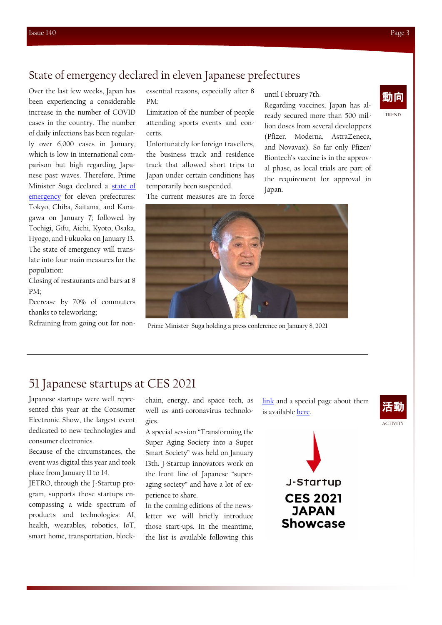## State of emergency declared in eleven Japanese prefectures

Over the last few weeks, Japan has been experiencing a considerable increase in the number of COVID cases in the country. The number of daily infections has been regularly over 6,000 cases in January, which is low in international comparison but high regarding Japanese past waves. Therefore, Prime Minister Suga declared a [state of](https://japan.kantei.go.jp/99_suga/statement/202101/_00006.html)  [emergency](https://japan.kantei.go.jp/99_suga/statement/202101/_00006.html) for eleven prefectures: Tokyo, Chiba, Saitama, and Kanagawa on January 7; followed by Tochigi, Gifu, Aichi, Kyoto, Osaka, Hyogo, and Fukuoka on January 13. The state of emergency will translate into four main measures for the population:

Closing of restaurants and bars at 8 PM;

Decrease by 70% of commuters thanks to teleworking;

Refraining from going out for non-

essential reasons, especially after 8 PM;

Limitation of the number of people attending sports events and concerts.

Unfortunately for foreign travellers, the business track and residence track that allowed short trips to Japan under certain conditions has temporarily been suspended.

The current measures are in force

until February 7th.

Regarding vaccines, Japan has already secured more than 500 million doses from several developpers (Pfizer, Moderna, AstraZeneca, and Novavax). So far only Pfizer/ Biontech's vaccine is in the approval phase, as local trials are part of the requirement for approval in Japan.



Prime Minister Suga holding a press conference on January 8, 2021

## 51 Japanese startups at CES 2021

Japanese startups were well represented this year at the Consumer Electronic Show, the largest event dedicated to new technologies and consumer electronics.

Because of the circumstances, the event was digital this year and took place from January 11 to 14.

JETRO, through the J-Startup program, supports those startups encompassing a wide spectrum of products and technologies: AI, health, wearables, robotics, IoT, smart home, transportation, blockchain, energy, and space tech, as well as anti-coronavirus technologies.

A special session "Transforming the Super Aging Society into a Super Smart Society" was held on January 13th. J-Startup innovators work on the front line of Japanese "superaging society" and have a lot of experience to share.

In the coming editions of the newsletter we will briefly introduce those start-ups. In the meantime, the list is available following this

[link](https://www.jetro.go.jp/ext_images/_News/en/2020/2b8216a71bc245b9/ceslist_en.pdf) and a special page about them is available [here.](https://www.jetro.go.jp/en/events/ces2021/)





ACTIVITY